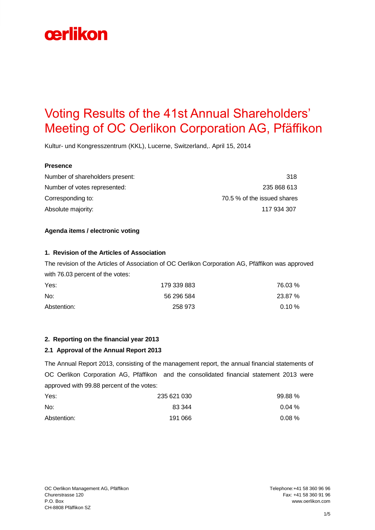# cerlikon

# Voting Results of the 41st Annual Shareholders' Meeting of OC Oerlikon Corporation AG, Pfäffikon

Kultur- und Kongresszentrum (KKL), Lucerne, Switzerland,. April 15, 2014

#### **Presence**

Number of shareholders present: 318 Number of votes represented: 235 868 613 Corresponding to: 70.5 % of the issued shares Absolute majority: 117 934 307

### **Agenda items / electronic voting**

#### **1. Revision of the Articles of Association**

The revision of the Articles of Association of OC Oerlikon Corporation AG, Pfäffikon was approved with 76.03 percent of the votes:

| Yes:        | 179 339 883 | 76.03%  |
|-------------|-------------|---------|
| No:         | 56 296 584  | 23.87 % |
| Abstention: | 258 973     | 0.10%   |

### **2. Reporting on the financial year 2013**

### **2.1 Approval of the Annual Report 2013**

The Annual Report 2013, consisting of the management report, the annual financial statements of OC Oerlikon Corporation AG, Pfäffikon and the consolidated financial statement 2013 were approved with 99.88 percent of the votes:

| Yes:        | 235 621 030 | 99.88%   |
|-------------|-------------|----------|
| No:         | 83 344      | $0.04\%$ |
| Abstention: | 191 066     | $0.08\%$ |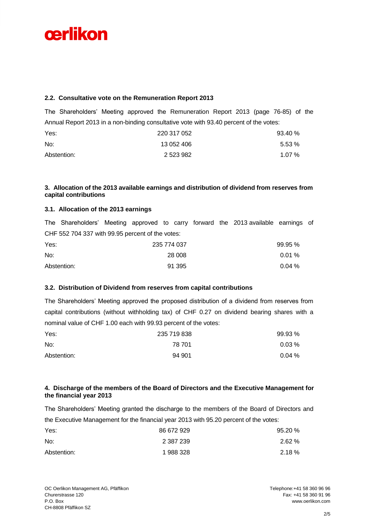# cerlikon

### **2.2. Consultative vote on the Remuneration Report 2013**

The Shareholders' Meeting approved the Remuneration Report 2013 (page 76-85) of the Annual Report 2013 in a non-binding consultative vote with 93.40 percent of the votes:

| Yes:        | 220 317 052 | 93.40 %  |
|-------------|-------------|----------|
| No:         | 13 052 406  | 5.53%    |
| Abstention: | 2 523 982   | $1.07\%$ |

### **3. Allocation of the 2013 available earnings and distribution of dividend from reserves from capital contributions**

### **3.1. Allocation of the 2013 earnings**

The Shareholders' Meeting approved to carry forward the 2013 available earnings of CHF 552 704 337 with 99.95 percent of the votes:

| Yes:        | 235 774 037 | 99.95% |
|-------------|-------------|--------|
| No:         | 28 008      | 0.01%  |
| Abstention: | 91 395      | 0.04%  |

### **3.2. Distribution of Dividend from reserves from capital contributions**

The Shareholders' Meeting approved the proposed distribution of a dividend from reserves from capital contributions (without withholding tax) of CHF 0.27 on dividend bearing shares with a nominal value of CHF 1.00 each with 99.93 percent of the votes:

| Yes:        | 235 719 838 | 99.93 % |
|-------------|-------------|---------|
| No:         | 78 701      | 0.03%   |
| Abstention: | 94 901      | 0.04%   |

### **4. Discharge of the members of the Board of Directors and the Executive Management for the financial year 2013**

The Shareholders' Meeting granted the discharge to the members of the Board of Directors and the Executive Management for the financial year 2013 with 95.20 percent of the votes:

| Yes:        | 86 672 929 | 95.20 %  |
|-------------|------------|----------|
| No:         | 2 387 239  | 2.62%    |
| Abstention: | 1988328    | $2.18\%$ |

Fax: +41 58 360 91 96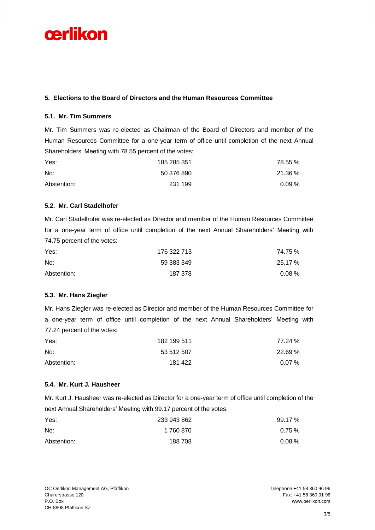# cerlikon

### **5. Elections to the Board of Directors and the Human Resources Committee**

# **5.1. Mr. Tim Summers**

Mr. Tim Summers was re-elected as Chairman of the Board of Directors and member of the Human Resources Committee for a one-year term of office until completion of the next Annual Shareholders' Meeting with 78.55 percent of the votes:

| Yes:        | 185 285 351 | 78.55 %  |
|-------------|-------------|----------|
| No:         | 50 376 890  | 21.36 %  |
| Abstention: | 231 199     | $0.09\%$ |

### **5.2. Mr. Carl Stadelhofer**

Mr. Carl Stadelhofer was re-elected as Director and member of the Human Resources Committee for a one-year term of office until completion of the next Annual Shareholders' Meeting with 74.75 percent of the votes:

| Yes:        | 176 322 713 | 74.75 %  |
|-------------|-------------|----------|
| No:         | 59 383 349  | 25.17 %  |
| Abstention: | 187 378     | $0.08\%$ |

# **5.3. Mr. Hans Ziegler**

Mr. Hans Ziegler was re-elected as Director and member of the Human Resources Committee for a one-year term of office until completion of the next Annual Shareholders' Meeting with 77.24 percent of the votes:

| Yes:        | 182 199 511 | 77.24 %    |
|-------------|-------------|------------|
| No:         | 53 512 507  | 22.69 %    |
| Abstention: | 181 422     | $0.07\ \%$ |

# **5.4. Mr. Kurt J. Hausheer**

Mr. Kurt J. Hausheer was re-elected as Director for a one-year term of office until completion of the next Annual Shareholders' Meeting with 99.17 percent of the votes:

| Yes:        | 233 943 862 | 99.17 %  |
|-------------|-------------|----------|
| No:         | 1 760 870   | 0.75%    |
| Abstention: | 188708      | $0.08\%$ |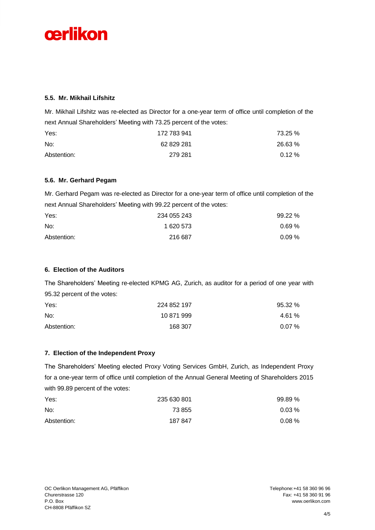

### **5.5. Mr. Mikhail Lifshitz**

Mr. Mikhail Lifshitz was re-elected as Director for a one-year term of office until completion of the next Annual Shareholders' Meeting with 73.25 percent of the votes:

| Yes:        | 172 783 941 | 73.25 % |
|-------------|-------------|---------|
| No:         | 62 829 281  | 26.63 % |
| Abstention: | 279 281     | 0.12%   |

### **5.6. Mr. Gerhard Pegam**

Mr. Gerhard Pegam was re-elected as Director for a one-year term of office until completion of the next Annual Shareholders' Meeting with 99.22 percent of the votes:

| Yes:        | 234 055 243 | 99.22 %  |
|-------------|-------------|----------|
| No:         | 1 620 573   | $0.69\%$ |
| Abstention: | 216 687     | $0.09\%$ |

# **6. Election of the Auditors**

The Shareholders' Meeting re-elected KPMG AG, Zurich, as auditor for a period of one year with 95.32 percent of the votes:

| Yes:        | 224 852 197 | 95.32 %  |
|-------------|-------------|----------|
| No:         | 10 871 999  | 4.61 %   |
| Abstention: | 168 307     | $0.07\%$ |

### **7. Election of the Independent Proxy**

The Shareholders' Meeting elected Proxy Voting Services GmbH, Zurich, as Independent Proxy for a one-year term of office until completion of the Annual General Meeting of Shareholders 2015 with 99.89 percent of the votes:

| Yes:<br>No: | 235 630 801 | 99.89% |
|-------------|-------------|--------|
|             | 73 855      | 0.03%  |
| Abstention: | 187847      | 0.08%  |